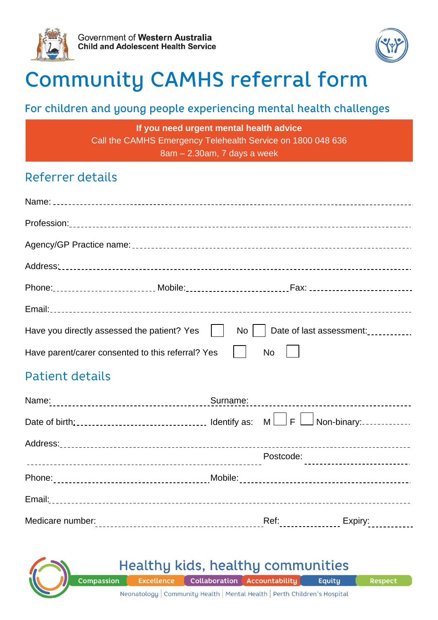



# **Community CAMHS referral form**

#### For children and young people experiencing mental health challenges

**If you need urgent mental health advice** Call the CAMHS Emergency Telehealth Service on 1800 048 636 8am – 2.30am, 7 days a week

#### Referrer details

| Have you directly assessed the patient? Yes       | No<br>Date of last assessment:                    |
|---------------------------------------------------|---------------------------------------------------|
| Have parent/carer consented to this referral? Yes | <b>No</b>                                         |
| Patient details                                   |                                                   |
| Name:<br>-------------------------------------    | Surname:<br>------------------------------------- |
|                                                   |                                                   |

| Date of birth: ___________________________________ Identify as: $M \cup F \cup$ Non-binary: ______________ |           |                     |
|------------------------------------------------------------------------------------------------------------|-----------|---------------------|
|                                                                                                            |           |                     |
|                                                                                                            | Postcode: |                     |
|                                                                                                            |           |                     |
|                                                                                                            |           |                     |
| Medicare number:                                                                                           | Ref:      | Expiry:<br><u>.</u> |

## Healthy kids, healthy communities

**Compassion** Collaboration Accountability **Excellence** 

Equity

Neonatology | Community Health | Mental Health | Perth Children's Hospital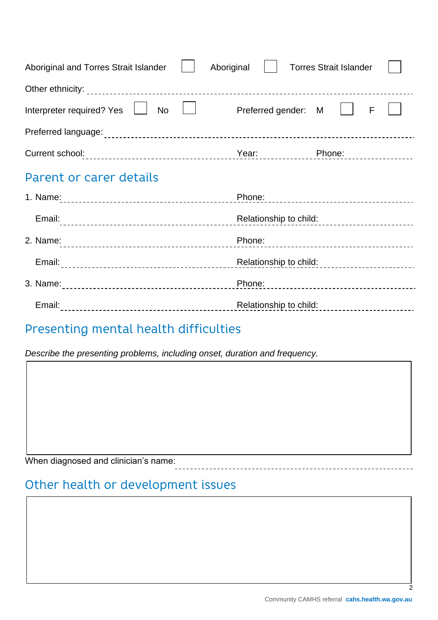| Aboriginal and Torres Strait Islander                                                                    | Aboriginal        |                            | <b>Torres Strait Islander</b> |                                    |
|----------------------------------------------------------------------------------------------------------|-------------------|----------------------------|-------------------------------|------------------------------------|
|                                                                                                          |                   |                            |                               |                                    |
| Interpreter required? Yes<br><b>No</b>                                                                   | $\vert \ \ \vert$ | Preferred gender: M        |                               | $\mathsf{F}$                       |
|                                                                                                          |                   |                            |                               |                                    |
| Current school: Phone: Phone: Phone: Phone: Phone: Phone: Phone: Phone: Phone: Phone: Phone: Phone: 2014 |                   |                            |                               |                                    |
| Parent or carer details                                                                                  |                   |                            |                               |                                    |
|                                                                                                          |                   | Phone:                     |                               | ---------------------------------- |
| Email:                                                                                                   |                   |                            |                               |                                    |
| 2. Name:                                                                                                 |                   | Phone:                     |                               |                                    |
| Email:                                                                                                   |                   | Relationship to child:<br> |                               |                                    |
|                                                                                                          |                   | Phone:                     |                               |                                    |
| Email:                                                                                                   |                   | Relationship to child:     |                               | ______________________             |

## Presenting mental health difficulties

*Describe the presenting problems, including onset, duration and frequency.*

When diagnosed and clinician's name:

### Other health or development issues

 $\mathfrak{p}$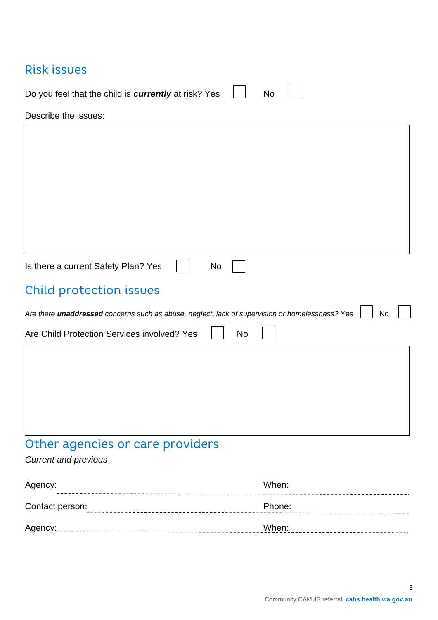### Risk issues

| Do you feel that the child is <b>currently</b> at risk? Yes $\Box$ No $\Box$ |  |  |
|------------------------------------------------------------------------------|--|--|
| Describe the issues:                                                         |  |  |

## Other agencies or care providers

#### *Current and previous*

| Agency:         | When:  |
|-----------------|--------|
| Contact person: | Phone: |
| Agency:         | When:  |